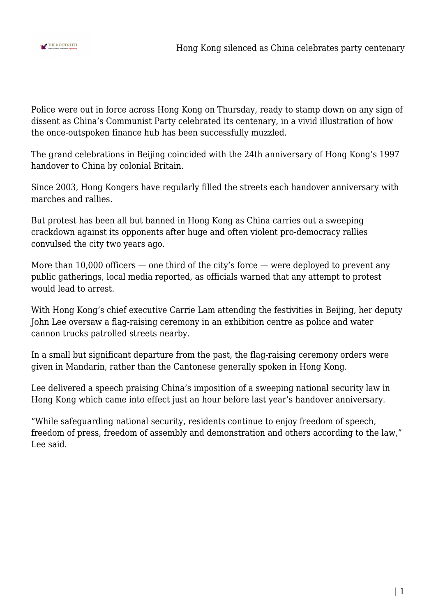

Police were out in force across Hong Kong on Thursday, ready to stamp down on any sign of dissent as China's Communist Party celebrated its centenary, in a vivid illustration of how the once-outspoken finance hub has been successfully muzzled.

The grand celebrations in Beijing coincided with the 24th anniversary of Hong Kong's 1997 handover to China by colonial Britain.

Since 2003, Hong Kongers have regularly filled the streets each handover anniversary with marches and rallies.

But protest has been all but banned in Hong Kong as China carries out a sweeping crackdown against its opponents after huge and often violent pro-democracy rallies convulsed the city two years ago.

More than 10,000 officers — one third of the city's force — were deployed to prevent any public gatherings, local media reported, as officials warned that any attempt to protest would lead to arrest.

With Hong Kong's chief executive Carrie Lam attending the festivities in Beijing, her deputy John Lee oversaw a flag-raising ceremony in an exhibition centre as police and water cannon trucks patrolled streets nearby.

In a small but significant departure from the past, the flag-raising ceremony orders were given in Mandarin, rather than the Cantonese generally spoken in Hong Kong.

Lee delivered a speech praising China's imposition of a sweeping national security law in Hong Kong which came into effect just an hour before last year's handover anniversary.

"While safeguarding national security, residents continue to enjoy freedom of speech, freedom of press, freedom of assembly and demonstration and others according to the law," Lee said.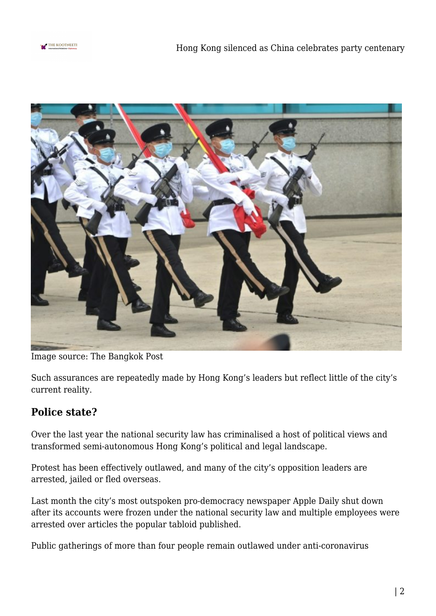



Image source: The Bangkok Post

Such assurances are repeatedly made by Hong Kong's leaders but reflect little of the city's current reality.

## **Police state?**

Over the last year the national security law has criminalised a host of political views and transformed semi-autonomous Hong Kong's political and legal landscape.

Protest has been effectively outlawed, and many of the city's opposition leaders are arrested, jailed or fled overseas.

Last month the city's most outspoken pro-democracy newspaper Apple Daily shut down after its accounts were frozen under the national security law and multiple employees were arrested over articles the popular tabloid published.

Public gatherings of more than four people remain outlawed under anti-coronavirus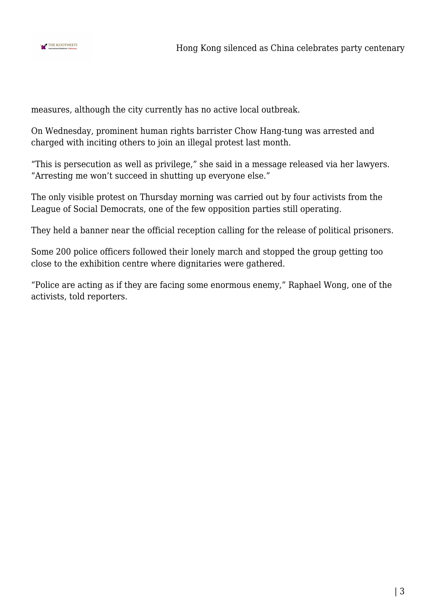

measures, although the city currently has no active local outbreak.

On Wednesday, prominent human rights barrister Chow Hang-tung was arrested and charged with inciting others to join an illegal protest last month.

"This is persecution as well as privilege," she said in a message released via her lawyers. "Arresting me won't succeed in shutting up everyone else."

The only visible protest on Thursday morning was carried out by four activists from the League of Social Democrats, one of the few opposition parties still operating.

They held a banner near the official reception calling for the release of political prisoners.

Some 200 police officers followed their lonely march and stopped the group getting too close to the exhibition centre where dignitaries were gathered.

"Police are acting as if they are facing some enormous enemy," Raphael Wong, one of the activists, told reporters.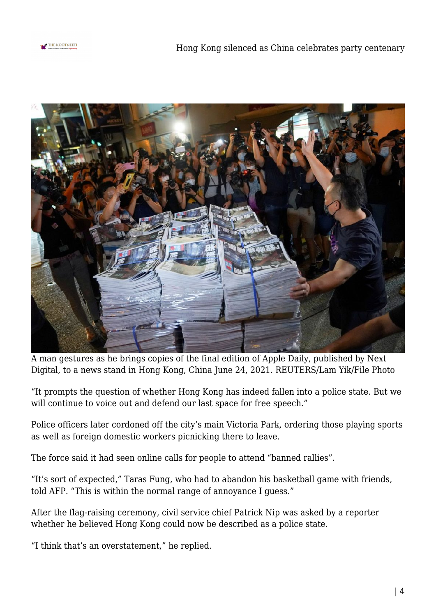



A man gestures as he brings copies of the final edition of Apple Daily, published by Next Digital, to a news stand in Hong Kong, China June 24, 2021. REUTERS/Lam Yik/File Photo

"It prompts the question of whether Hong Kong has indeed fallen into a police state. But we will continue to voice out and defend our last space for free speech."

Police officers later cordoned off the city's main Victoria Park, ordering those playing sports as well as foreign domestic workers picnicking there to leave.

The force said it had seen online calls for people to attend "banned rallies".

"It's sort of expected," Taras Fung, who had to abandon his basketball game with friends, told AFP. "This is within the normal range of annoyance I guess."

After the flag-raising ceremony, civil service chief Patrick Nip was asked by a reporter whether he believed Hong Kong could now be described as a police state.

"I think that's an overstatement," he replied.